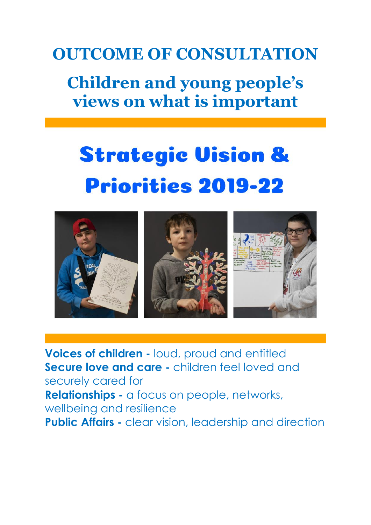### **OUTCOME OF CONSULTATION**

### **Children and young people's views on what is important**

# **Strategic Vision & Priorities 2019-22**



**Voices of children -** loud, proud and entitled **Secure love and care -** children feel loved and securely cared for **Relationships -** a focus on people, networks, wellbeing and resilience **Public Affairs -** clear vision, leadership and direction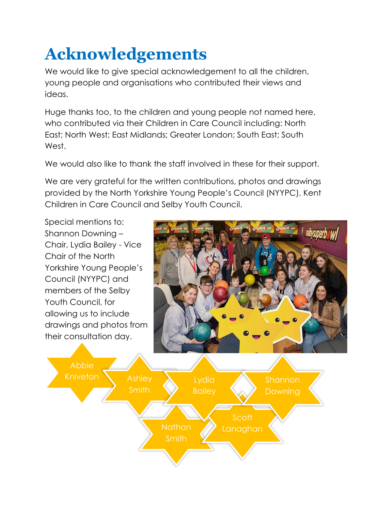## **Acknowledgements**

We would like to give special acknowledgement to all the children, young people and organisations who contributed their views and ideas.

Huge thanks too, to the children and young people not named here, who contributed via their Children in Care Council including: North East; North West; East Midlands; Greater London; South East; South West.

We would also like to thank the staff involved in these for their support.

We are very grateful for the written contributions, photos and drawings provided by the North Yorkshire Young People's Council (NYYPC), Kent Children in Care Council and Selby Youth Council.

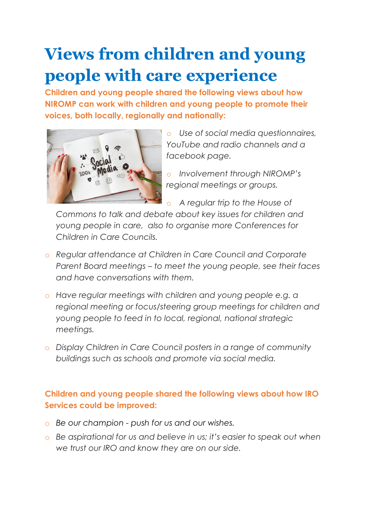### **Views from children and young people with care experience**

**Children and young people shared the following views about how NIROMP can work with children and young people to promote their voices, both locally, regionally and nationally:**



o *Use of social media questionnaires, YouTube and radio channels and a facebook page.* 

o *Involvement through NIROMP's regional meetings or groups.* 

o *A regular trip to the House of* 

*Commons to talk and debate about key issues for children and young people in care, also to organise more Conferences for Children in Care Councils.*

- o *Regular attendance at Children in Care Council and Corporate Parent Board meetings – to meet the young people, see their faces and have conversations with them.*
- o *Have regular meetings with children and young people e.g. a regional meeting or focus/steering group meetings for children and young people to feed in to local, regional, national strategic meetings.*
- o *Display Children in Care Council posters in a range of community buildings such as schools and promote via social media.*

#### **Children and young people shared the following views about how IRO Services could be improved:**

- o *Be our champion - push for us and our wishes.*
- o *Be aspirational for us and believe in us; it's easier to speak out when we trust our IRO and know they are on our side.*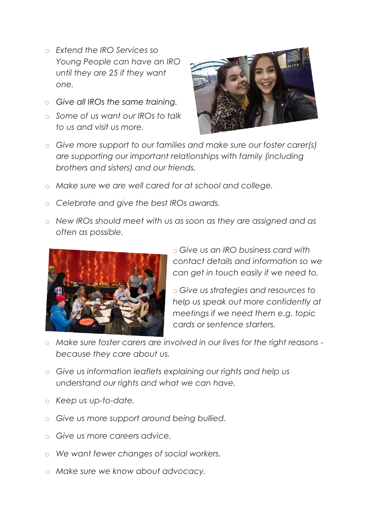- o *Extend the IRO Services so Young People can have an IRO until they are 25 if they want one.*
- o *Give all IROs the same training.*
- o *Some of us want our IROs to talk to us and visit us more.*



- o *Give more support to our families and make sure our foster carer(s) are supporting our important relationships with family (including brothers and sisters) and our friends.*
- o *Make sure we are well cared for at school and college.*
- o *Celebrate and give the best IROs awards.*
- o *New IROs should meet with us as soon as they are assigned and as often as possible.*



o *Give us an IRO business card with contact details and information so we can get in touch easily if we need to.*

o *Give us strategies and resources to help us speak out more confidently at meetings if we need them e.g. topic cards or sentence starters.*

- o *Make sure foster carers are involved in our lives for the right reasons because they care about us.*
- o *Give us information leaflets explaining our rights and help us understand our rights and what we can have.*
- o *Keep us up-to-date.*
- o *Give us more support around being bullied.*
- o *Give us more careers advice.*
- o *We want fewer changes of social workers.*
- o *Make sure we know about advocacy.*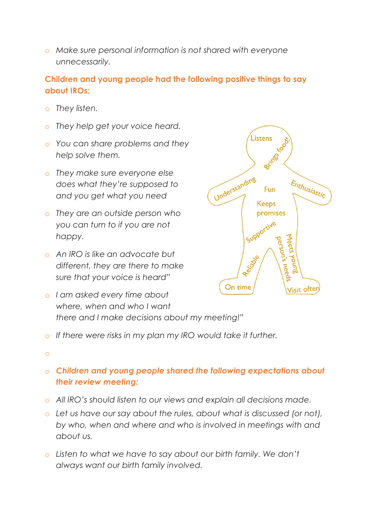o *Make sure personal information is not shared with everyone unnecessarily.*

#### **Children and young people had the following positive things to say about IROs:**

- o *They listen.*
- o *They help get your voice heard.*
- o *You can share problems and they help solve them.*
- o *They make sure everyone else does what they're supposed to and you get what you need*
- o *They are an outside person who you can turn to if you are not happy.*
- o *An IRO is like an advocate but different, they are there to make sure that your voice is heard"*
- o *I am asked every time about where, when and who I want there and I make decisions about my meeting!"*



o

#### o *Children and young people shared the following expectations about their review meeting:*

- o *All IRO's should listen to our views and explain all decisions made.*
- o *Let us have our say about the rules, about what is discussed (or not), by who, when and where and who is involved in meetings with and about us.*
- o *Listen to what we have to say about our birth family. We don't always want our birth family involved.*

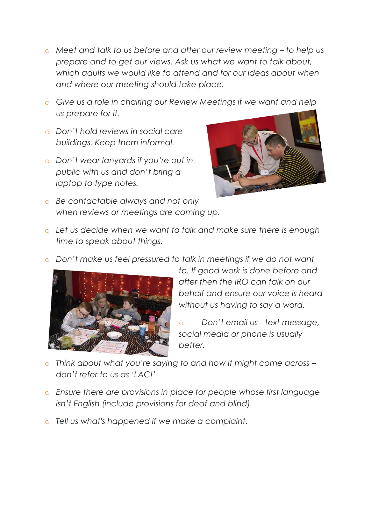- o *Meet and talk to us before and after our review meeting – to help us prepare and to get our views. Ask us what we want to talk about,*  which adults we would like to attend and for our ideas about when *and where our meeting should take place.*
- o *Give us a role in chairing our Review Meetings if we want and help us prepare for it.*
- o *Don't hold reviews in social care buildings. Keep them informal.*
- o *Don't wear lanyards if you're out in public with us and don't bring a laptop to type notes.*



- o *Be contactable always and not only when reviews or meetings are coming up.*
- o *Let us decide when we want to talk and make sure there is enough time to speak about things.*
- o *Don't make us feel pressured to talk in meetings if we do not want*



*to. If good work is done before and after then the IRO can talk on our behalf and ensure our voice is heard without us having to say a word.* 

o *Don't email us - text message, social media or phone is usually better.* 

- o *Think about what you're saying to and how it might come across – don't refer to us as 'LAC!'*
- o *Ensure there are provisions in place for people whose first language isn't English (include provisions for deaf and blind)*
- o *Tell us what's happened if we make a complaint.*